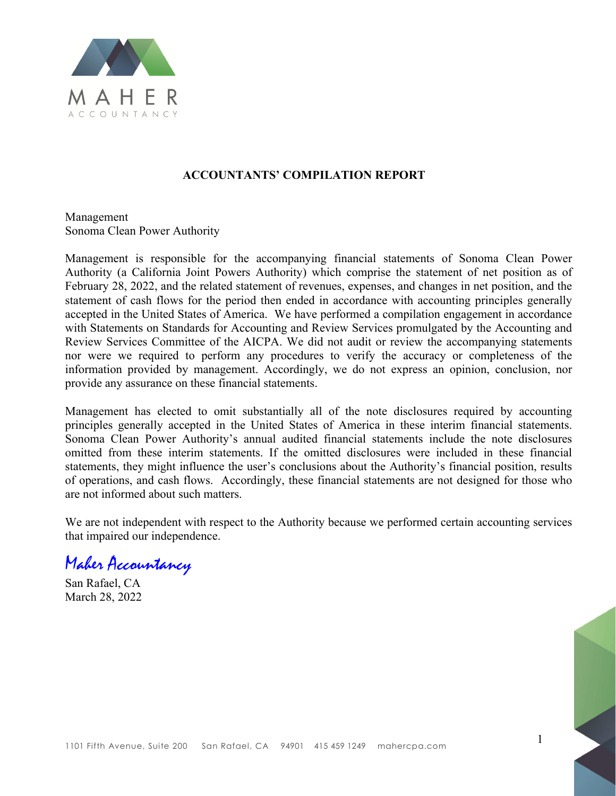

#### **ACCOUNTANTS' COMPILATION REPORT**

Management Sonoma Clean Power Authority

Management is responsible for the accompanying financial statements of Sonoma Clean Power Authority (a California Joint Powers Authority) which comprise the statement of net position as of February 28, 2022, and the related statement of revenues, expenses, and changes in net position, and the statement of cash flows for the period then ended in accordance with accounting principles generally accepted in the United States of America. We have performed a compilation engagement in accordance with Statements on Standards for Accounting and Review Services promulgated by the Accounting and Review Services Committee of the AICPA. We did not audit or review the accompanying statements nor were we required to perform any procedures to verify the accuracy or completeness of the information provided by management. Accordingly, we do not express an opinion, conclusion, nor provide any assurance on these financial statements.

Management has elected to omit substantially all of the note disclosures required by accounting principles generally accepted in the United States of America in these interim financial statements. Sonoma Clean Power Authority's annual audited financial statements include the note disclosures omitted from these interim statements. If the omitted disclosures were included in these financial statements, they might influence the user's conclusions about the Authority's financial position, results of operations, and cash flows. Accordingly, these financial statements are not designed for those who are not informed about such matters.

We are not independent with respect to the Authority because we performed certain accounting services that impaired our independence.

Maher Accountancy

San Rafael, CA March 28, 2022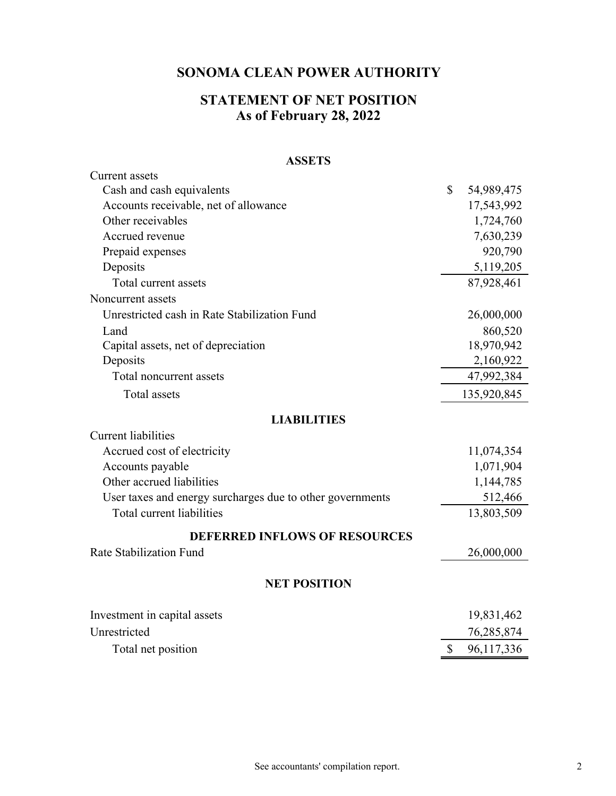# **STATEMENT OF NET POSITION As of February 28, 2022**

#### **ASSETS**

| <b>Current</b> assets                                     |                  |
|-----------------------------------------------------------|------------------|
| Cash and cash equivalents                                 | \$<br>54,989,475 |
| Accounts receivable, net of allowance                     | 17,543,992       |
| Other receivables                                         | 1,724,760        |
| Accrued revenue                                           | 7,630,239        |
| Prepaid expenses                                          | 920,790          |
| Deposits                                                  | 5,119,205        |
| Total current assets                                      | 87,928,461       |
| Noncurrent assets                                         |                  |
| Unrestricted cash in Rate Stabilization Fund              | 26,000,000       |
| Land                                                      | 860,520          |
| Capital assets, net of depreciation                       | 18,970,942       |
| Deposits                                                  | 2,160,922        |
| Total noncurrent assets                                   | 47,992,384       |
| Total assets                                              | 135,920,845      |
| <b>LIABILITIES</b>                                        |                  |
| <b>Current liabilities</b>                                |                  |
| Accrued cost of electricity                               | 11,074,354       |
| Accounts payable                                          | 1,071,904        |
| Other accrued liabilities                                 | 1,144,785        |
| User taxes and energy surcharges due to other governments | 512,466          |
| Total current liabilities                                 | 13,803,509       |
| <b>DEFERRED INFLOWS OF RESOURCES</b>                      |                  |
| Rate Stabilization Fund                                   | 26,000,000       |
| <b>NET POSITION</b>                                       |                  |
| Investment in capital assets                              | 19,831,462       |
| Unrestricted                                              |                  |
|                                                           | 76,285,874       |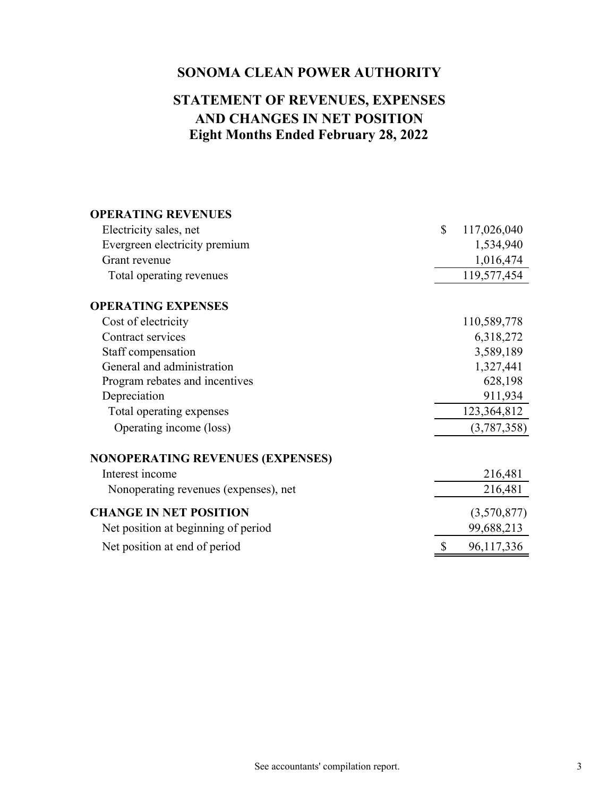# **Eight Months Ended February 28, 2022 AND CHANGES IN NET POSITION STATEMENT OF REVENUES, EXPENSES**

| <b>OPERATING REVENUES</b>               |                   |
|-----------------------------------------|-------------------|
| Electricity sales, net                  | \$<br>117,026,040 |
| Evergreen electricity premium           | 1,534,940         |
| Grant revenue                           | 1,016,474         |
| Total operating revenues                | 119,577,454       |
| <b>OPERATING EXPENSES</b>               |                   |
| Cost of electricity                     | 110,589,778       |
| Contract services                       | 6,318,272         |
| Staff compensation                      | 3,589,189         |
| General and administration              | 1,327,441         |
| Program rebates and incentives          | 628,198           |
| Depreciation                            | 911,934           |
| Total operating expenses                | 123,364,812       |
| Operating income (loss)                 | (3,787,358)       |
| <b>NONOPERATING REVENUES (EXPENSES)</b> |                   |
| Interest income                         | 216,481           |
| Nonoperating revenues (expenses), net   | 216,481           |
| <b>CHANGE IN NET POSITION</b>           | (3,570,877)       |
| Net position at beginning of period     | 99,688,213        |
| Net position at end of period           | 96,117,336        |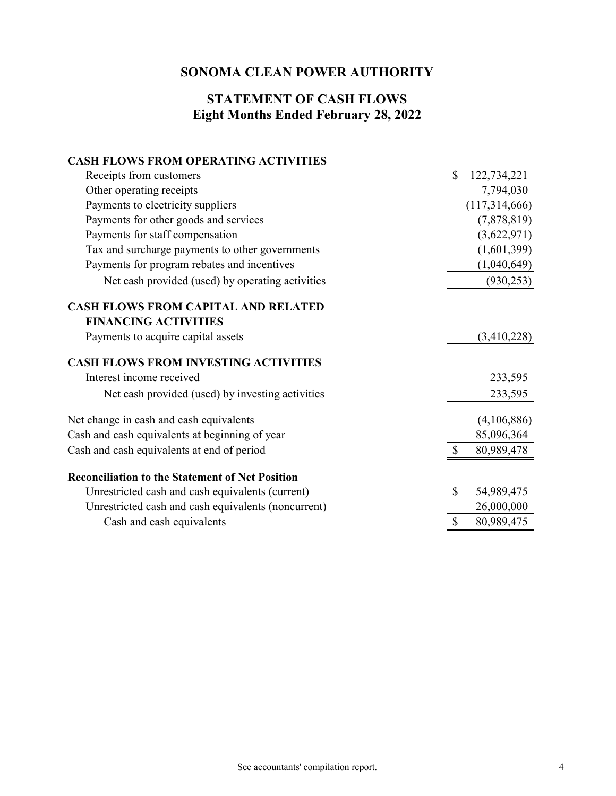#### **Eight Months Ended February 28, 2022 STATEMENT OF CASH FLOWS**

### **CASH FLOWS FROM OPERATING ACTIVITIES**

| Receipts from customers                                | $\mathbb{S}$ | 122,734,221   |
|--------------------------------------------------------|--------------|---------------|
| Other operating receipts                               |              | 7,794,030     |
| Payments to electricity suppliers                      |              | (117,314,666) |
| Payments for other goods and services                  |              | (7,878,819)   |
| Payments for staff compensation                        |              | (3,622,971)   |
| Tax and surcharge payments to other governments        |              | (1,601,399)   |
| Payments for program rebates and incentives            |              | (1,040,649)   |
| Net cash provided (used) by operating activities       |              | (930, 253)    |
| <b>CASH FLOWS FROM CAPITAL AND RELATED</b>             |              |               |
| <b>FINANCING ACTIVITIES</b>                            |              |               |
| Payments to acquire capital assets                     |              | (3,410,228)   |
| <b>CASH FLOWS FROM INVESTING ACTIVITIES</b>            |              |               |
| Interest income received                               |              | 233,595       |
| Net cash provided (used) by investing activities       |              | 233,595       |
| Net change in cash and cash equivalents                |              | (4,106,886)   |
| Cash and cash equivalents at beginning of year         |              | 85,096,364    |
| Cash and cash equivalents at end of period             |              | 80,989,478    |
| <b>Reconciliation to the Statement of Net Position</b> |              |               |
| Unrestricted cash and cash equivalents (current)       | \$           | 54,989,475    |
| Unrestricted cash and cash equivalents (noncurrent)    |              | 26,000,000    |
| Cash and cash equivalents                              | \$           | 80,989,475    |